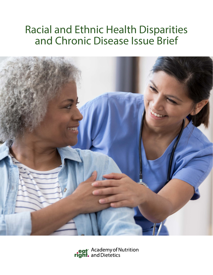# Racial and Ethnic Health Disparities and Chronic Disease Issue Brief



eat<sup>®</sup> Academy of Nutrition<br>**right.** and Dietetics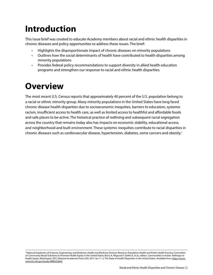# **Introduction**

This issue brief was created to educate Academy members about racial and ethnic health disparities in chronic diseases and policy opportunities to address these issues. The brief:

- Highlights the disproportionate impact of chronic diseases on minority populations
- Outlines how the social determinants of health have contributed to health disparities among minority populations
- Provides federal policy recommendations to support diversity in allied health education programs and strengthen our response to racial and ethnic health disparities.

# **Overview**

The most recent U.S. Census reports that approximately 40 percent of the U.S. population belong to a racial or ethnic minority group. Many minority populations in the United States have long faced chronic disease health disparities due to socioeconomic inequities, barriers to education, systemic racism, insufficient access to health care, as well as limited access to healthful and affordable foods and safe places to be active. The historical practice of redlining and subsequent racial segregation across the country that remains today also has impacts on economic stability, educational access, and neighborhood and built environment. These systemic inequities contribute to racial disparities in chronic diseases such as cardiovascular disease, hypertension, diabetes, some cancers and obesity.1

<sup>1</sup> National Academies of Sciences, Engineering, and Medicine; Health and Medicine Division; Board on Population Health and Public Health Practice; Committee on Community-Based Solutions to Promote Health Equity in the United States; Baciu A, Negussie Y, Geller A, et al., editors. Communities in Action: Pathways to Health Equity. Washington (DC): National Academies Press (US); 2017 Jan 11. 2, The State of Health Disparities in the United States. Available from: [https://www.](https://www.ncbi.nlm.nih.gov/books/NBK425844/) [ncbi.nlm.nih.gov/books/NBK425844/](https://www.ncbi.nlm.nih.gov/books/NBK425844/)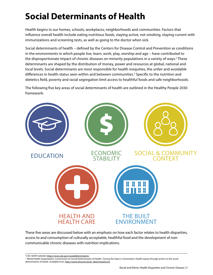# **Social Determinants of Health**

Health begins in our homes, schools, workplaces, neighborhoods and communities. Factors that influence overall health include eating nutritious foods, staying active, not smoking, staying current with immunizations and screening tests, as well as going to the doctor when sick.

Social determinants of health – defined by the Centers for Disease Control and Prevention as conditions in the environments in which people live, learn, work, play, worship and age – have contributed to the disproportionate impact of chronic diseases on minority populations in a variety of ways.<sup>2</sup> These determinants are shaped by the distribution of money, power and resources at global, national and local levels. Social determinants are most responsible for health inequities, the unfair and avoidable differences in health status seen within and between communities.<sup>3</sup> Specific to the nutrition and dietetics field, poverty and racial segregation limit access to healthful foods and safe neighborhoods.

The following five key areas of social determinants of health are outlined in the Healthy People 2030 framework:



These five areas are discussed below with an emphasis on how each factor relates to health disparities, access to and consumption of culturally acceptable, healthful food and the development of noncommunicable chronic diseases with nutrition implications.

2 CDC SDOH website: <https://www.cdc.gov/socialdeterminants/>.

<sup>&</sup>lt;sup>3</sup> World Health Organization, Commission on Social Determinants of Health. Closing the Gap in a Generation: Health equity through action on the social determinants of health. Available from: [http://www.who.int/social\\_determinants/en](http://www.who.int/social_determinants/en).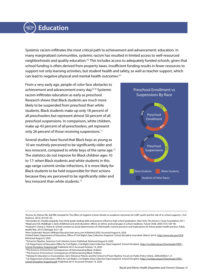# **Education**

Systemic racism infiltrates the most critical path to achievement and advancement: education. In many marginalized communities, systemic racism has resulted in limited access to well-resourced neighborhoods and quality education.4,5 This includes access to adequately funded schools, given that school funding is often derived from property taxes. Insufficient funding results in fewer resources to support not only learning activities, but student health and safety, as well as teacher support, which can lead to negative physical and mental health outcomes.<sup>6,7</sup>

From a very early age, people of color face obstacles to achievement and advancement every day.<sup>8-10</sup> Systemic racism infiltrates education as early as preschool. Research shows that Black students are much more likely to be suspended from preschool than white students. Black students make up only 18 percent of all preschoolers but represent almost 50 percent of all preschool suspensions. In comparison, white children, make up 43 percent of all preschoolers, yet represent only 26 percent of those receiving suspensions.<sup>11</sup>

Several studies have found that Black boys as young as 10 are routinely perceived to be significantly older and less innocent, compared to white boys of the same age.12 The statistics do not improve for Black children ages 10 to 17: when Black students and white students in this age range commit similar infractions, it is more likely for Black students to be held responsible for their actions because they are perceived to be significantly older and less innocent than white students.<sup>13</sup>



<sup>15</sup>US Department of Education Office for Civil Rights. Civil Rights Data Collection Data Snapshot: School Discipline. [https://ocrdata.ed.gov/Downloads/CRDC-](https://ocrdata.ed.gov/Downloads/CRDC-School-Discipline-Snapshot.pdf)[School-Discipline-Snapshot.pdf](https://ocrdata.ed.gov/Downloads/CRDC-School-Discipline-Snapshot.pdf). Published 2014. Accessed October 14, 2020.

<sup>4</sup> Kosciw JG, Palmer NA, Kull RM, Greytak EA. The effect of negative school climate on academic outcomes for LGBT youth and the role of in-school supports. J Sch Violence. 2013;12(1):45–63.

<sup>5</sup> Hernandez DJ. Double jeopardy: how third-grade reading skills and poverty influence high school graduation. New York: The Annie E. Casey Foundation; 2011 6 Magnuson KA, Waldfogel J. Early childhood care and education: effects on ethnic and racial gaps in school readiness. Future Child. 2005;15(1):169–96. 7Huang KY, Cheng S, Theise R. School contexts as social determinants of child health: Current practices and implications for future public health practice. Public Health Rep. 2013;128(Suppl 3):21–28.

<sup>8</sup>How Systematic Racism Infiltrate Education ben jerry.com Published 2020, Accessed August 6, 2020

<sup>9</sup>United States Department of Education; Office of Civil Rights Data Collection Snapshot: School discipline Issue Brief, (March 2014). <http://www.edu.gov/OCR>. Retrieved August 6, 2020.

<sup>&</sup>lt;sup>10</sup>School to Pipeline. American Civil Liberties Union Published, Retrieved August 8, 2020

<sup>&</sup>lt;sup>11</sup>US Department of Education Office for Civil Rights. Civil Rights Data Collection Data Snapshot: School Discipline. [https://ocrdata.ed.gov/Downloads/CRDC-](https://ocrdata.ed.gov/Downloads/CRDC-School-Discipline-Snapshot.pdf)[School-Discipline-Snapshot.pdf](https://ocrdata.ed.gov/Downloads/CRDC-School-Discipline-Snapshot.pdf). Published 2014. Accessed October 14, 2020.

<sup>&</sup>lt;sup>12</sup>The Essence of Innocence: Consequences of Dehumanizing Black Children

<sup>&</sup>lt;sup>13</sup>The Essence of Innocence: Consequences of Dehumanizing Black Children

<sup>&</sup>lt;sup>14</sup>Heitzeg N. Education or Incarceration: Zero Tolerance Policies and the School to Prison Pipeline. Forum on Public Policy Online. 2009;2009(2):1-21.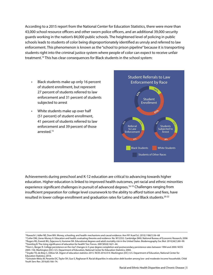According to a 2015 report from the National Center for Education Statistics, there were more than 43,000 school resource officers and other sworn police officers, and an additional 39,000 security guards working in the nation's 84,000 public schools. The heightened level of policing in public schools leads to students of color being disproportionately identified as unruly and referred to law enforcement. This phenomenon is known as the "school to prison pipeline" because it is transporting students right into the criminal justice system where people of color can expect to receive unfair treatment.14 This has clear consequences for Black students in the school system:

- Black students make up only 16 percent of student enrollment, but represent 27 percent of students referred to law enforcement and 31 percent of students subjected to arrest
- White students make up over half (51 percent) of student enrollment, 41 percent of students referred to law enforcement and 39 percent of those arrested.15



Achievements during preschool and K-12 education are critical to advancing towards higher education. Higher education is linked to improved health outcomes, yet racial and ethnic minorities experience significant challenges in pursuit of advanced degrees.<sup>16-19</sup> Challenges ranging from insufficient preparation for college level coursework to the ability to afford tuition and fees, have resulted in lower college enrollment and graduation rates for Latino and Black students.<sup>20-22</sup>

<sup>20</sup>Horn L, Berger R. College persistence on the rise? changes in 5-year degree completion and postsecondary persistence rates between 1994 and 2000. NCES 2005–156. Washington (DC): U.S. Department of Education, National Center for Education Statistics; 2004.

<sup>&</sup>lt;sup>16</sup>Kawachi I, Adler NE, Dow WH. Money, schooling, and health: mechanisms and causal evidence. Ann NY Acad Sci. 2010;1186(1):56-68

<sup>&</sup>lt;sup>17</sup>Cutler DM, Lleras-Muney A. Education and health: evaluating theories and evidence. No. W12352. Cambridge (MA): National Bureau of Economic Research; 2006 <sup>18</sup>Rogers RG, Everett BG, Zajacova A, Hummer RA. Educational degrees and adult mortality risk in the United States. Biodemography Soc Biol. 2010;56(1):80-99. 19Goesling B. The rising significance of education for health? Soc Forces. 2007;85(4):1621–44.

<sup>21</sup>Snyder TD, de Brey C, Dillow SA. Digest of education statistics 2015. NCES 2016-014. Washington (DC): U.S. Department of Education, National Center for Education Statistics; 2016.

<sup>&</sup>lt;sup>22</sup>Grinstein-Weiss M, Perantie DC, Taylor SH, Guo S, Raghavan R. Racial disparities in education debt burden among low- and moderate-income households. Child Youth Serv Rev. 2016;65:166–74.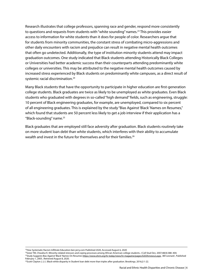Research illustrates that college professors, spanning race and gender, respond more consistently to questions and requests from students with "white sounding" names.<sup>23</sup> This provides easier access to information for white students than it does for people of color. Researchers argue that for students from minority communities, the constant stress of combating micro-aggressions and other daily encounters with racism and prejudice can result in negative mental health outcomes that often go undetected. Additionally, the type of institution minority students attend may impact graduation outcomes. One study indicated that Black students attending Historically Black Colleges or Universities had better academic success than their counterparts attending predominantly white colleges or universities. This may be attributed to the negative mental health outcomes caused by increased stress experienced by Black students on predominantly white campuses, as a direct result of systemic racial discrimination.<sup>24</sup>

Many Black students that have the opportunity to participate in higher education are first-generation college students. Black graduates are twice as likely to be unemployed as white graduates. Even Black students who graduated with degrees in so-called "high demand" fields, such as engineering, struggle: 10 percent of Black engineering graduates, for example, are unemployed, compared to six percent of all engineering graduates. This is explained by the study "Bias Against 'Black' Names on Resumes," which found that students are 50 percent less likely to get a job interview if their application has a "Black-sounding" name.25

Black graduates that are employed still face adversity after graduation. Black students routinely take on more student loan debt than white students, which interferes with their ability to accumulate wealth and invest in the future for themselves and for their families.<sup>26</sup>

<sup>&</sup>lt;sup>23</sup>How Systematic Racism Infiltrate Education ben jerry.com Published 2020, Accessed August 6, 2020

<sup>24</sup>Greer TM, Chwalisz K. Minority-related stressors and coping processes among African American college students. J Coll Stud Dev. 2007;48(4):388–404. <sup>25</sup>Study Suggests Bias Against 'Black' Names On Resumes <https://www.shrm.org/hr-today/news/hr-magazine/pages/0203hrnews2.aspx>, Bill Leonard, Published February 1, 2003 , Retrieved August 8, 2020.

<sup>26</sup>Scott-Clayton J, Li J. Black-white disparity in Student loan debt more than triples after graduation. Brookings. 2016;2:1-22.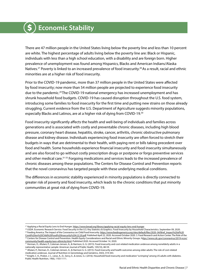#### **Economic Stability** \$

There are 47 million people in the United States living below the poverty line and less than 10 percent are white. The highest percentage of adults living below the poverty line are: Black or Hispanic, individuals with less than a high school education, with a disability and are foreign born. Higher prevalence of unemployment was found among Hispanics, Blacks and American Indians/Alaska Natives.<sup>27</sup> Poverty is linked to an increased prevalence of food insecurity.<sup>28</sup> As a result, racial and ethnic minorities are at a higher risk of food insecurity.

Prior to the COVID-19 pandemic, more than 37 million people in the United States were affected by food insecurity; now more than 54 million people are projected to experience food insecurity due to the pandemic.29 The COVID-19 national emergency has increased unemployment and has shrunk household food budgets. COVID-19 has caused disruption throughout the U.S. food system, introducing some families to food insecurity for the first time and putting new strains on those already struggling. Current evidence from the U.S. Department of Agriculture suggests minority populations, especially Blacks and Latinos, are at a higher risk of dying from COVID-19.30

Food insecurity significantly affects the health and well-being of individuals and families across generations and is associated with costly and preventable chronic diseases, including high blood pressure, coronary heart disease, hepatitis, stroke, cancer, arthritis, chronic obstructive pulmonary disease and kidney disease. Individuals experiencing food insecurity are often forced to stretch their budgets in ways that are detrimental to their health, with paying rent or bills taking precedent over food and health. Some households experience financial insecurity and food insecurity simultaneously and are also forced to go without costly prescription drugs or postpone or forgo preventive services and other medical care.<sup>31-33</sup> Forgoing medications and services leads to the increased prevalence of chronic diseases among these populations. The Centers for Disease Control and Prevention reports that the novel coronavirus has targeted people with these underlying medical conditions.

The differences in economic stability experienced in minority populations is directly connected to greater risk of poverty and food insecurity, which leads to the chronic conditions that put minority communities at great risk of dying from COVID-19.

<sup>&</sup>lt;sup>27</sup> Applying a Racial Equity Lens to End Hunger. <https://www.bread.org/library/applying-racial-equity-lens-end-hunger>

<sup>&</sup>lt;sup>28</sup> USDA. Economic Research Service. Food Security in the U.S. Key Statistics & Graphics. Food Insecurity by Household Characteristics. September 09, 2020. <sup>29</sup> Feeding America. The Impact of the Coronavirus on Child Food Insecurity. https://www.feedingamerica.org/sites/default/files/2020-04/Brief\_Impact%20of%20

[Covid%20on%20Child%20Food%20Insecurity%204.22.20.pdf.](https://www.feedingamerica.org/sites/default/files/2020- 04/Brief_Impact%20of%20Covid%20on%20Child%20Food%20Insecurity%204.22.20.pdf) Published April 22, 2020. Accessed October 2020. 3. Food Research and Action Center. The Role of the 30 Centers for Disease Control and Prevention. Health Equity Considerations and Racial and Ethnic Minority Groups. h[ttps://www.cdc.gov/coronavirus/2019-ncov/](ttps://www.cdc.gov/coronavirus/2019-ncov/community/health-equity/race-ethnicity.html) [community/health-equity/race-ethnicity.html.](ttps://www.cdc.gov/coronavirus/2019-ncov/community/health-equity/race-ethnicity.html) Published 2020. Accessed October 14, 2020.

<sup>&</sup>lt;sup>31</sup> Herman, D., Afulani, P., Coleman-Jensen, A., & Harrison, G. G. (2015). Food insecurity and cost-related medication underuse among nonelderly adults in a nationally representative sample: American Journal of Public Health, 105(10), 48-59.

<sup>32</sup> Afulani, P., Herman, D., Coleman-Jensen, A., & Harrison G. G. (2015). Food insecurity and health outcomes among older adults: The role of cost-related medication underuse. Journal of Nutrition in Gerontology and Geriatrics, 34(3), 319-343.

<sup>33</sup> Knight, C. K., Probst, J. C., Liese, A., D., Sercy, E., & Jones, S.J. (2016). Household food insecurity and medication "scrimping" among US adults with diabetes. Public Health Nutrition, 19(6), 1103-1111.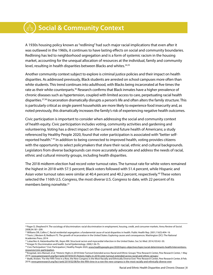# **Social & Community Context**

A 1930s housing policy known as "redlining" had such major racial implications that even after it was outlawed in the 1960s, it continues to have lasting effects on social and community boundaries. Redlining has led to neighborhood segregation and is a form of systemic racism in the housing market, accounting for the unequal allocation of resources at the individual, family and community level, resulting in health disparities between Blacks and whites.<sup>34,35</sup>

Another community context subject to explore is criminal justice policies and their impact on health disparities. As addressed previously, Black students are arrested on school campuses more often than white students. This trend continues into adulthood, with Blacks being incarcerated at five times the rate as their white counterparts.<sup>36</sup> Research confirms that Black inmates have a higher prevalence of chronic diseases such as hypertension, coupled with limited access to care, perpetuating racial health disparities.37,38 Incarceration dramatically disrupts a person's life and often alters the family structure. This is particularly critical as single parent households are more likely to experience food insecurity and, as noted previously, this dramatically increases the family's risk of experiencing negative health outcomes.

Civic participation is important to consider when addressing the social and community context of health equity. Civic participation includes voting, community activities and gardening and volunteering. Voting has a direct impact on the current and future health of Americans; a study referenced by Healthy People 2020, found that voter participation is associated with "better selfreported health." 39 In addition to being connected to improved health, voting provides citizens with the opportunity to select policymakers that share their racial, ethnic and cultural backgrounds. Legislators from diverse backgrounds can more accurately advocate and address the needs of racial, ethnic and cultural minority groups, including health disparities.

The 2018 midterm election had record voter turnout rates. The turnout rate for white voters remained the highest in 2018 with 57.5 percent; Black voters followed with 51.4 percent, while Hispanic and Asian voter turnout rates were similar at 40.4 percent and 40.2 percent, respectively.<sup>40</sup> These voters selected the 116th U.S. Congress, the most diverse U.S. Congress to date, with 22 percent of its members being nonwhite.41

<sup>38</sup> Krieger N. Discrimination and health. Social Epidemiology. 2000;1:36-75.

<sup>34</sup> Pager D, Shepherd H. The sociology of discrimination: racial discrimination in employment, housing, credit, and consumer markets. Annu Review of Sociol. 2008;34:181–209.

<sup>&</sup>lt;sup>35</sup> Williams DR, Collins C. Racial residential segregation: a fundamental cause of racial disparities in health. Public Health Rep. 2001;116(5):404-16

<sup>&</sup>lt;sup>36</sup> Travis J, Western B, Redburn FS. The growth of incarceration in the United States: Exploring causes and consequences. Washington (DC): The National Academies Press; 2014

<sup>37</sup> Lukachko A, Hatzenbuehler ML, Keyes KM. Structural racism and myocardial infarction in the United States. Soc Sci Med. 2014;103:42–50.

<sup>&</sup>lt;sup>39</sup> Civic Participation." Civic Participation | Healthy People 2020, [www.healthypeople.gov/2020/topics-objectives/topic/social-determinants-health/interventions](www.healthypeople.gov/2020/topics-objectives/topic/social-determinants-health/interventions-resources/civic-participation)[resources/civic-participation.](www.healthypeople.gov/2020/topics-objectives/topic/social-determinants-health/interventions-resources/civic-participation)

<sup>40</sup> Krogstad, Jens Manuel, et al. "Historic Highs in 2018 Voter Turnout Extended across Racial and Ethnic Groups." Pew Research Center, Pew Research Center, 1 May 2019,<www.pewresearch.org/fact-tank/2019/05/01/historic-highs-in-2018-voter-turnout-extended-across-racial-and-ethnic-groups/>.

<sup>&</sup>lt;sup>41</sup> Bialik, Kristen. "For the Fifth Time in a Row, the New Congress Is the Most Racially and Ethnically Diverse Ever." Pew Research Center, Pew Research Center, 8 Feb. 2019,<www.pewresearch.org/fact-tank/2019/02/08/for-the-fifth-time-in-a-row-the-new-congress-is-the-most-racially-and-ethnically-diverse-ever>.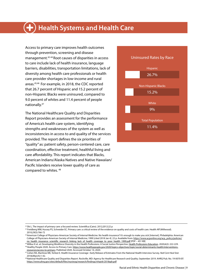# **Health Systems and Health Care**

Access to primary care improves health outcomes through prevention, screening and disease management.42-44 Root causes of disparities in access to care include lack of health insurance, language barriers, disabilities, transportation limitations, lack of diversity among health care professionals or health care provider shortages in low-income and rural areas.45,46 For example, in 2018, the CDC reported that 26.7 percent of Hispanic and 15.2 percent of non-Hispanic Blacks were uninsured, compared to 9.0 percent of whites and 11.4 percent of people nationally.47

The National Healthcare Quality and Disparities Report provides an assessment for the performance of America's health care system, identifying strengths and weaknesses of the system as well as inconsistencies in access to and quality of the services provided. The report defines the six priorities of "quality" as: patient safety, person-centered care, care coordination, effective treatment, healthful living and care affordability. This report indicates that Blacks, American Indians/Alaska Natives and Native Hawaiian/ Pacific Islanders receive lower quality of care as compared to whites. 48



42 Shi L. The impact of primary care: a focused review. Scientifica (Cairo). 2012;2012:22 p

<sup>43</sup> Freidberg MW, Hussey PS, Schneider EC. Primary care: a critical review of the evidence on quality and costs of health care. Health Aff (Millwood). 2010;29(5):766-72

<sup>44</sup> American College of Physicians-American Society of Internal Medicine. No health insurance? It's enough to make you sick [Internet]. Philadelphia: American College of Physicians-American Society of Internal Medicine; 1999 [cited 2018 Jan 4]. 22 p. Available from: [https://www.acponline.org/acp\\_policy/policies/](https://www.acponline.org/acp_policy/policies/no_health_insurance_scientific_research_linking_lack_of_health_coverage_to_poor_health_1999.pdf) [no\\_health\\_insurance\\_scientific\\_research\\_linking\\_lack\\_of\\_health\\_coverage\\_to\\_poor\\_health\\_1999.pdf](https://www.acponline.org/acp_policy/policies/no_health_insurance_scientific_research_linking_lack_of_health_coverage_to_poor_health_1999.pdf) [PDF – 451 KB]<br><sup>45</sup>Wilbur K et. al. Developing Workforce Diversity in the Health Professions: A Social Justice Perspective. <u>H</u>

<sup>46</sup> Healthy People 2020. Access to Primary Care. [https://www.healthypeople.gov/2020/topics-objectives/topic/social-determinants-health/interventions](https://www.healthypeople.gov/2020/topics-objectives/topic/social-determinants-health/interventions-resources/access-to-primary)[resources/access-to-primary](https://www.healthypeople.gov/2020/topics-objectives/topic/social-determinants-health/interventions-resources/access-to-primary). Published 2020. Accessed October 14, 2020.

<sup>47</sup> Cohen RA, Martinez ME, Terlizzi E. Health Insurance Coverage : Early Release of Estimates From the National Health Interview Survey. *Natl Cent Heal Stat*. 2018;(March):1-42.

<sup>48</sup> National Healthcare Quality and Disparities Report. Rockville, MD: Agency for Healthcare Research and Quality; September 2019. AHRQ Pub. No. 19-0070-EF. <https://www.ahrq.gov/sites/default/files/wysiwyg/research/findings/nhqrdr/2018qdr.pdf>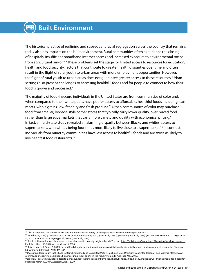The historical practice of redlining and subsequent racial segregation across the country that remains today also has impacts on the built environment. Rural communities often experience the closing of hospitals, insufficient broadband internet access and increased exposure to environmental toxins from agricultural run-off.49 These problems set the stage for limited access to resources for education, health and food security, factors that contribute to greater health disparities over time and often result in the flight of rural youth to urban areas with more employment opportunities. However, the flight of rural youth to urban areas does not guarantee greater access to these resources. Urban settings also present challenges to accessing healthful foods and for people to connect to how their food is grown and processed.50

The majority of food-insecure individuals in the United States are from communities of color and, when compared to their white peers, have poorer access to affordable, healthful foods including lean meats, whole grains, low-fat dairy and fresh produce.<sup>51</sup> Urban communities of color may purchase food from smaller, bodega-style corner stores that typically carry lower quality, over-priced food rather than large supermarkets that carry more variety and quality with economical pricing.<sup>52</sup> In fact, a multi-state study revealed an alarming disparity between Blacks' and whites' access to supermarkets, with whites being four times more likely to live close to a supermarket.<sup>53</sup> In contrast, individuals from minority communities have less access to healthful foods and are twice as likely to live near fast food restaurants.<sup>54</sup>

<sup>49</sup> Ziller E, Coburn A. The state of health care in America: Health Equity Challenges in Rural America. Hum Rights. 1995;43(3).

<sup>50 (</sup>Gundersen, 2015). (Cannuscio et al., 2010).(Prevention Institute, 2011). (Levi et al., 2015a). (Pinderhughes et al., 2015). (Prevention Institute, 2011). (Egerter et al., 2011). (Gern, 2010). (Kozyrskyj et al., 2004). (Keet et al., 2015).

<sup>51</sup> Brooks K. Research shows food deserts more abundant in minority neighborhoods. The Hub.<https://hub.jhu.edu/magazine/2014/spring/racial-food-deserts/>. Published March 10, 2014. Accessed June 5, 2020.

<sup>52</sup> Raja, S., Ma, C., & Yadav, P. (2008). Beyond food deserts: measuring and mapping racial disparities in neighborhood food environments. Journal of Planning Education and Research, 27(4), 469-482.

<sup>53</sup> Measuring Racial Equity in the Food System: Established and Suggested Metrics. Michigan State University Center for Regional Food Systems. [https://www.](https://www.canr.msu.edu/foodsystems/uploads/files/measuring-racial-equity-in-the-food-system.pdf) [canr.msu.edu/foodsystems/uploads/files/measuring-racial-equity-in-the-food-system.pdf.](https://www.canr.msu.edu/foodsystems/uploads/files/measuring-racial-equity-in-the-food-system.pdf) Published May, 2019.

<sup>54</sup> Brooks K. Research shows food deserts more abundant in minority neighborhoods. The Hub. <u>https://hub.jhu.edu/magazine/2014/spring/racial-food-deserts/</u>. Published March 10, 2014. Accessed June 5, 2020.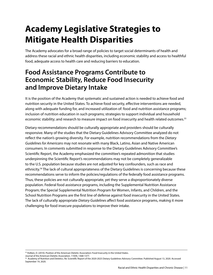# **Academy Legislative Strategies to Mitigate Health Disparities**

The Academy advocates for a broad range of policies to target social determinants of health and address these racial and ethnic health disparities, including economic stability and access to healthful food, adequate access to health care and reducing barriers to education.

## **Food Assistance Programs Contribute to Economic Stability, Reduce Food Insecurity and Improve Dietary Intake**

It is the position of the Academy that systematic and sustained action is needed to achieve food and nutrition security in the United States. To achieve food security, effective interventions are needed, along with adequate funding for, and increased utilization of: food and nutrition assistance programs; inclusion of nutrition education in such programs; strategies to support individual and household economic stability; and research to measure impact on food insecurity and health related outcomes.55

Dietary recommendations should be culturally appropriate and providers should be culturally responsive. Many of the studies that the Dietary Guidelines Advisory Committee analyzed do not reflect the nation's growing diversity. For example, nutrition recommendations from the *Dietary Guidelines for Americans* may not resonate with many Black, Latino, Asian and Native American consumers. In comments submitted in response to the Dietary Guidelines Advisory Committee's Scientific Report, the Academy emphasized the committee's repeated admonition that studies underpinning the Scientific Report's recommendations may not be completely generalizable to the U.S. population because studies are not adjusted for key confounders, such as race and ethnicity.56 The lack of cultural appropriateness of the Dietary Guidelines is concerning because these recommendations serve to inform the policies/regulations of the federally food assistance programs. Thus, these policies are not culturally appropriate, yet they serve a disproportionately diverse population. Federal food assistance programs, including the Supplemental Nutrition Assistance Program; the Special Supplemental Nutrition Program for Women, Infants, and Children, and the School Nutrition Programs are the first line of defense against food insecurity in the United States. The lack of culturally appropriate *Dietary Guidelines* affect food assistance programs, making it more challenging for food insecure populations to improve their intake.

<sup>55</sup> Holben, D. (2010). Position of the American Dietetic Association: Food Insecurity in the United States.

Journal of the American Dietetic Association. 110(9), 1368-1377.

<sup>&</sup>lt;sup>56</sup> Academy of Nutrition and Dietetics. Re: Scientific Report of the 2020-2025 Dietary Guidelines Advisory Committee. Published August 13, 2020. Accessed September 19, 2020.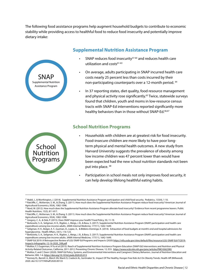The following food assistance programs help augment household budgets to contribute to economic stability while providing access to healthful food to reduce food insecurity and potentially improve dietary intake:



### **Supplemental Nutrition Assistance Program**

- SNAP reduces food insecurity<sup>57-60</sup> and reduces health care utilization and costs<sup>61-63</sup>
- On average, adults participating in SNAP incurred health care costs nearly 25 percent less than costs incurred by their non-participating counterparts over a 12-month period. 64
- In 37 reporting states, diet quality, food resource management and physical activity rose significantly.<sup>65</sup> Twice, statewide surveys found that children, youth and moms in low-resource census tracts with SNAP-Ed interventions reported significantly more healthy behaviors than in those without SNAP-Ed.<sup>66,67</sup>

#### **School Nutrition Programs**



- Households with children are at greatest risk for food insecurity. Food-insecure children are more likely to have poor longterm physical and mental health outcomes. A new study from Harvard University suggests the prevalence of obesity among low income children was 47 percent lower than would have been expected had the new school nutrition standards not been put into place. 68
- Participation in school meals not only improves food security, it can help develop lifelong healthful eating habits.

<sup>57</sup> Mabli, J., & Worthington, J. (2014). Supplemental Nutrition Assistance Program participation and child food security. Pediatrics, 133(4), 1-10.

<sup>58</sup> Ratcliffe, C., McKernan, S. M., & Zhang, S. (2011). How much does the Supplemental Nutrition Assistance Program reduce food insecurity? American Journal of Agricultural Economics, 93(4), 1082-1098.

<sup>&</sup>lt;sup>59</sup> Nord, M. (2012). How much does the Supplemental Nutrition Assistance Program alleviate food insecurity? Evidence from recent programme leavers. Public Health Nutrition, 15(5), 811-817.

<sup>60</sup> Ratcliffe, C., McKernan, S. M., & Zhang, S. (2011). How much does the Supplemental Nutrition Assistance Program reduce food insecurity? American Journal of Agricultural Economics, 93(4), 1082-1098.

<sup>&</sup>lt;sup>61</sup> Gregory, C. A., & Deb, P. (2015). Does SNAP improve your health? Food Policy, 50, 11-19.

<sup>&</sup>lt;sup>62</sup> Berkowitz, S. A., Seligman, H. K., Rigdon, J., Meigs, J. B., & Basu, S. (2017). Supplemental Nutrition Assistance Program (SNAP) participation and health care expenditures among low-income adults. JAMA Internal Medicine, 177(11), 1642-1649.

<sup>63</sup> Seligman, H. K., Bolger, A. F., Guzman, D., Lopez, A., & Bibbins-Domingo, K. (2014). Exhaustion of food budgets at month's end and hospital admissions for hyperglycemia. Health Affairs, 33(1), 116-123.

<sup>&</sup>lt;sup>64</sup> Berkowitz, S. A., Seligman, H. K., Rigdon, J., Meigs, J. B., & Basu, S. (2017). Supplemental Nutrition Assistance Program (SNAP) participation and health care expenditures among low-income adults. JAMA Internal Medicine, 177(11), 1642-1649.

<sup>&</sup>lt;sup>65</sup> SNAP-Ed 2019: A Retrospective Review of LGU SNAP-Ed Programs and Impacts (2020) [https://nifa.usda.gov/sites/default/files/resource/LGU-SNAP-Ed-FY2019-](https://nifa.usda.gov/sites/default/files/resource/LGU-SNAP-Ed-FY2019-Impacts-Infographic-12-16-2020_508.pdf
) [Impacts-Infographic-12-16-2020\\_508.pdf](https://nifa.usda.gov/sites/default/files/resource/LGU-SNAP-Ed-FY2019-Impacts-Infographic-12-16-2020_508.pdf
)

<sup>66</sup> Molitor, F, S Sugerman, H Yu et al (2015). Reach of Supplemental Nutrition Assistance Program-Education (SNAP-Ed) Interventions and Nutrition and Physical Activity-Related Outcomes, California, 2011-2012. Preventing Chronic Disease, 12, E33. <https://www.ncbi.nlm.nih.gov/pmc/articles/PMC4362390/>

<sup>&</sup>lt;sup>67</sup> Molitor, F, and C Doerr (2020). SNAP-Ed Policy, Systems, and Environmental Interventions and Caregivers' Dietary Behaviors. Journal of Nutrition Education and Behavior, 000, 1-6. [https://doi.org/10.1016/j.jneb.2020.05.013](https://doi.org/10.1016/j.jneb.2020.05.013
)

<sup>&</sup>lt;sup>68</sup> Kenney EL, Barrett JL, Bleich SN, Ward ZJ, Cradock AL, Gortmaker SL. Impact Of The Healthy, Hunger-Free Kids Act On Obesity Trends. Health Aff (Millwood). 2020. doi:10.1377/hlthaff.2020.00133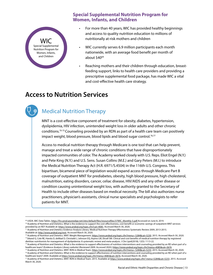### **Special Supplemental Nutrition Program for Women, Infants, and Children**



- For more than 40 years, WIC has provided healthy beginnings and access to quality nutrition education to millions of nutritionally at-risk mothers and children
- WIC currently serves 6.9 million participants each month nationwide, with an average food benefit per month of about \$40<sup>69</sup>
- Reaching mothers and their children through education, breastfeeding support, links to health care providers and providing a prescriptive supplemental food package, has made WIC a vital and cost-effective health care strategy.

## **Access to Nutrition Services**

### Medical Nutrition Therapy

MNT is a cost-effective component of treatment for obesity, diabetes, hypertension, dyslipidemia, HIV infection, unintended weight loss in older adults and other chronic conditions.<sup>70-75</sup> Counseling provided by an RDN as part of a health care team can positively impact weight, blood pressure, blood lipids and blood sugar control.<sup>76,77</sup>

Access to medical nutrition therapy through Medicare is one tool that can help prevent, manage and treat a wide range of chronic conditions that have disproportionately impacted communities of color. The Academy worked closely with U.S. Reps. Eliot Engel (N.Y.) and Pete King (N.Y.) and U.S. Sens. Susan Collins (M.E.) and Gary Peters (M.I.) to introduce the Medical Nutrition Therapy Act (H.R. 6971/S.4504) in the 116th U.S. Congress. This bipartisan, bicameral piece of legislation would expand access through Medicare Part B coverage of outpatient MNT for prediabetes, obesity, high blood pressure, high cholesterol, malnutrition, eating disorders, cancer, celiac disease, HIV/AIDS and any other disease or condition causing unintentional weight loss, with authority granted to the Secretary of Health to include other diseases based on medical necessity. The bill also authorizes nurse practitioners, physician's assistants, clinical nurse specialists and psychologists to refer patients for MNT.

Available at: [http://www.andeal.org/mnt.](http://www.andeal.org/mnt) Accessed March 30, 2020.

<sup>&</sup>lt;sup>69</sup> USDA. WIC Data Tables. <u>https://fns-prod.azureedge.net/sites/default/files/resourcefiles/37WIC\_Monthly-5.pdf Accessed on June 8, 2019.<br><sup>70</sup> Academy of Nutrition and Dietetics. What is the evidence to support the cost-</u>

provided by an RD? Available at: <https://www.andeal.org/topic.cfm?cat=4085>. Accessed March 30, 2020. 71 Academy of Nutrition and Dietetics Evidence Analysis Library. Medical Nutrition Therapy Effectiveness Systematic Review 2009, 2013-2015.

<sup>72</sup> Academy of Nutrition and Dietetics. MNT: Weight Management.<https://www.andeal.org/topic.cfm?menu= 5284&cat=5230>. 2015. Accessed March 30, 2020. 73 Sikand G, Cole RE, Handu D, deWaal D, Christaldi J, Johnson EQ, Arpino LM, Ekvall SM. Clinical and cost benefits of medical nutrition therapy by registered dietitian nutritionists for management of dyslipidemia: A systematic review and meta-analysis. J Clin Lipid(2018); 12(5): 1113-22.

<sup>74</sup> Academy of Nutrition and Dietetics. What is the evidence to support effectiveness of nutrition interventions and counseling provided by an RD when part of a healthcare team? (Evidence Analysis Library website) (Reviewed 2009. Accessed 2020.)<https://www.andeal.org/topic.cfm?menu=4085&cat=3676>

<sup>&</sup>lt;sup>75</sup> Academy of Nutrition and Dietetics. MNT: RDN in Medical Team.<https://www.andeal.org/topic.cfm?menu= 5284&cat=5233>. 2015. Accessed March 30, 2020. <sup>76</sup> Academy of Nutrition and Dietetics. What is the evidence to support effectiveness of nutrition interventions and counseling provided by an RD when part of a

healthcare team? 2009. Available at<https://www.andeal.org/topic.cfm?menu=4085&cat=3676>. Accessed March 30, 2020.<br><sup>77</sup> Academy of Nutrition and Dietetics. MNT: RDN in Medical Team. 2015. Available at https://www.andeal.org March 30, 2020.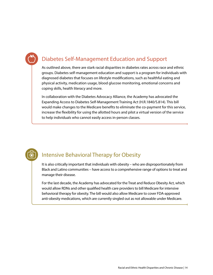## Diabetes Self-Management Education and Support

As outlined above, there are stark racial disparities in diabetes rates across race and ethnic groups. Diabetes self-management education and support is a program for individuals with diagnosed diabetes that focuses on lifestyle modifications, such as healthful eating and physical activity, medication usage, blood glucose monitoring, emotional concerns and coping skills, health literacy and more.

In collaboration with the Diabetes Advocacy Alliance, the Academy has advocated the Expanding Access to Diabetes Self-Management Training Act (H.R.1840/S.814). This bill would make changes to the Medicare benefits to eliminate the co-payment for this service, increase the flexibility for using the allotted hours and pilot a virtual version of the service to help individuals who cannot easily access in-person classes.

### Intensive Behavioral Therapy for Obesity

It is also critically important that individuals with obesity – who are disproportionately from Black and Latino communities – have access to a comprehensive range of options to treat and manage their disease.

For the last decade, the Academy has advocated for the Treat and Reduce Obesity Act, which would allow RDNs and other qualified health care providers to bill Medicare for intensive behavioral therapy for obesity. The bill would also allow Medicare to cover FDA-approved anti-obesity medications, which are currently singled out as not allowable under Medicare.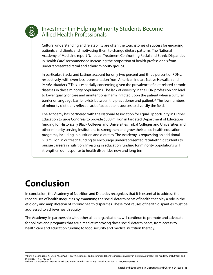### Investment in Helping Minority Students Become Allied Health Professionals

Cultural understanding and relatability are often the touchstones of success for engaging patients and clients and motivating them to change dietary patterns. The National Academy of Medicine report "Unequal Treatment Confronting Racial and Ethnic Disparities in Health Care" recommended increasing the proportion of health professionals from underrepresented racial and ethnic minority groups.

In particular, Blacks and Latinos account for only two percent and three percent of RDNs, respectively, with even less representation from American Indian, Native Hawaiian and Pacific Islanders.78 This is especially concerning given the prevalence of diet-related chronic diseases in these minority populations. The lack of diversity in the RDN profession can lead to lower quality of care and unintentional harm inflicted upon the patient when a cultural barrier or language barrier exists between the practitioner and patient.<sup>79</sup> The low numbers of minority dietitians reflect a lack of adequate resources to diversify the field.

The Academy has partnered with the National Association for Equal Opportunity in Higher Education to urge Congress to provide \$300 million in targeted Department of Education funding for Historically Black Colleges and Universities, Tribal Colleges and Universities and other minority serving institutions to strengthen and grow their allied health education programs, including in nutrition and dietetics. The Academy is requesting an additional \$10 million in outreach funding to encourage underrepresented racial/ethnic students to pursue careers in nutrition. Investing in education funding for minority populations will strengthen our response to health disparities now and long term.

# **Conclusion**

In conclusion, the Academy of Nutrition and Dietetics recognizes that it is essential to address the root causes of health inequities by examining the social determinants of health that play a role in the etiology and amplification of chronic health disparities. These root causes of health disparities must be addressed to achieve health equity.

The Academy, in partnership with other allied organizations, will continue to promote and advocate for policies and programs that are aimed at improving these social determinants, from access to health care and education funding to food security and medical nutrition therapy.